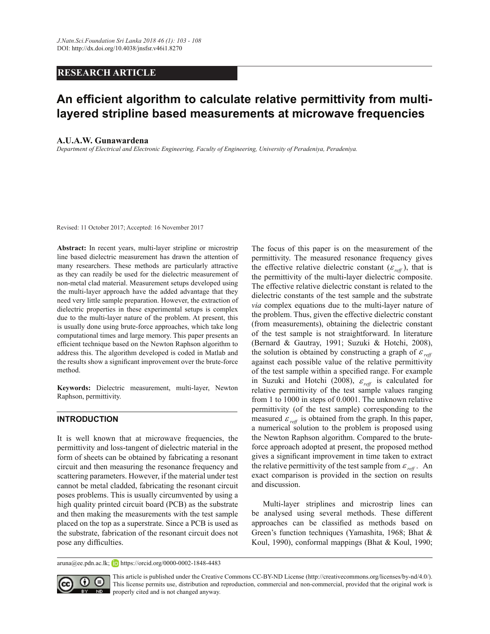## **RESEARCH ARTICLE**

# An efficient algorithm to calculate relative permittivity from multi**layered stripline based measurements at microwave frequencies**

## **A.U.A.W. Gunawardena**

Department of Electrical and Electronic Engineering, Faculty of Engineering, University of Peradeniya, Peradeniya.

Revised: 11 October 2017; Accepted: 16 November 2017

**Abstract:** In recent years, multi-layer stripline or microstrip line based dielectric measurement has drawn the attention of many researchers. These methods are particularly attractive as they can readily be used for the dielectric measurement of non-metal clad material. Measurement setups developed using the multi-layer approach have the added advantage that they need very little sample preparation. However, the extraction of dielectric properties in these experimental setups is complex due to the multi-layer nature of the problem. At present, this is usually done using brute-force approaches, which take long computational times and large memory. This paper presents an efficient technique based on the Newton Raphson algorithm to address this. The algorithm developed is coded in Matlab and the results show a significant improvement over the brute-force method.

**Keywords:** Dielectric measurement, multi-layer, Newton Raphson, permittivity.

## **INTRODUCTION**

It is well known that at microwave frequencies, the permittivity and loss-tangent of dielectric material in the form of sheets can be obtained by fabricating a resonant circuit and then measuring the resonance frequency and scattering parameters. However, if the material under test cannot be metal cladded, fabricating the resonant circuit poses problems. This is usually circumvented by using a high quality printed circuit board (PCB) as the substrate and then making the measurements with the test sample placed on the top as a superstrate. Since a PCB is used as the substrate, fabrication of the resonant circuit does not pose any difficulties.

The focus of this paper is on the measurement of the permittivity. The measured resonance frequency gives the effective relative dielectric constant  $(\varepsilon_{ref})$ , that is the permittivity of the multi-layer dielectric composite. The effective relative dielectric constant is related to the dielectric constants of the test sample and the substrate *via* complex equations due to the multi-layer nature of the problem. Thus, given the effective dielectric constant (from measurements), obtaining the dielectric constant of the test sample is not straightforward. In literature (Bernard & Gautray, 1991; Suzuki & Hotchi, 2008), the solution is obtained by constructing a graph of  $\varepsilon_{\text{reff}}$ against each possible value of the relative permittivity of the test sample within a specified range. For example in Suzuki and Hotchi (2008),  $\varepsilon_{ref}$  is calculated for relative permittivity of the test sample values ranging from 1 to 1000 in steps of 0.0001. The unknown relative permittivity (of the test sample) corresponding to the measured  $\varepsilon_{ref}$  is obtained from the graph. In this paper, a numerical solution to the problem is proposed using the Newton Raphson algorithm. Compared to the bruteforce approach adopted at present, the proposed method gives a significant improvement in time taken to extract the relative permittivity of the test sample from  $\varepsilon_{ref}$ . An exact comparison is provided in the section on results and discussion.

 Multi-layer striplines and microstrip lines can be analysed using several methods. These different approaches can be classified as methods based on Green's function techniques (Yamashita, 1968; Bhat  $\&$ Koul, 1990), conformal mappings (Bhat & Koul, 1990;

aruna@ee.pdn.ac.lk; **https://orcid.org/0000-0002-1848-4483** 



This article is published under the Creative Commons CC-BY-ND License (http://creativecommons.org/licenses/by-nd/4.0/). This license permits use, distribution and reproduction, commercial and non-commercial, provided that the original work is properly cited and is not changed anyway.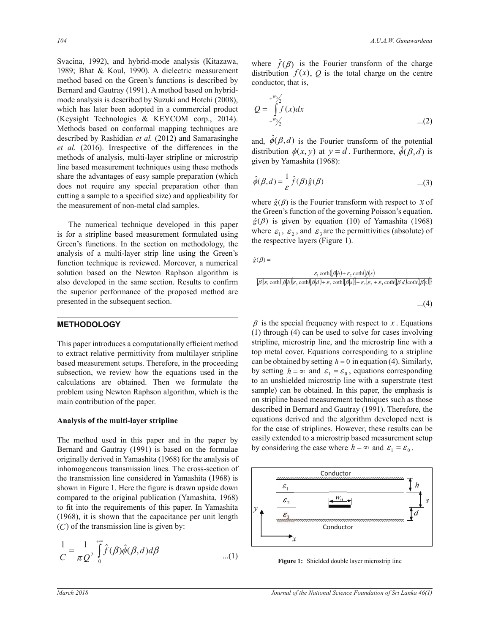Svacina, 1992), and hybrid-mode analysis (Kitazawa, 1989; Bhat & Koul, 1990). A dielectric measurement method based on the Green's functions is described by Bernard and Gautray (1991). A method based on hybridmode analysis is described by Suzuki and Hotchi (2008), which has later been adopted in a commercial product (Keysight Technologies & KEYCOM corp., 2014). Methods based on conformal mapping techniques are described by Rashidian *et al.* (2012) and Samarasinghe *et al.* (2016). Irrespective of the differences in the methods of analysis, multi-layer stripline or microstrip line based measurement techniques using these methods share the advantages of easy sample preparation (which does not require any special preparation other than cutting a sample to a specified size) and applicability for the measurement of non-metal clad samples.

 The numerical technique developed in this paper is for a stripline based measurement formulated using Green's functions. In the section on methodology, the analysis of a multi-layer strip line using the Green's function technique is reviewed. Moreover, a numerical solution based on the Newton Raphson algorithm is also developed in the same section. Results to confirm the superior performance of the proposed method are presented in the subsequent section.

### **METHODOLOGY**

This paper introduces a computationally efficient method to extract relative permittivity from multilayer stripline based measurement setups. Therefore, in the proceeding subsection, we review how the equations used in the calculations are obtained. Then we formulate the problem using Newton Raphson algorithm, which is the main contribution of the paper.

#### **Analysis of the multi-layer stripline**

The method used in this paper and in the paper by Bernard and Gautray (1991) is based on the formulae originally derived in Yamashita (1968) for the analysis of inhomogeneous transmission lines. The cross-section of the transmission line considered in Yamashita (1968) is shown in Figure 1. Here the figure is drawn upside down compared to the original publication (Yamashita, 1968) to fit into the requirements of this paper. In Yamashita (1968), it is shown that the capacitance per unit length  $(C)$  of the transmission line is given by:

$$
\frac{1}{C} = \frac{1}{\pi Q^2} \int_{0}^{+\infty} \hat{f}(\beta) \hat{\phi}(\beta, d) d\beta
$$
...(1)

where  $\hat{f}(\beta)$  is the Fourier transform of the charge distribution  $f(x)$ ,  $Q$  is the total charge on the centre conductor, that is,

$$
Q = \int_{-w_0/2}^{w_0/2} f(x) dx
$$
...(2)

and,  $\hat{\phi}(\beta, d)$  is the Fourier transform of the potential distribution  $\phi(x, y)$  at  $y = d$ . Furthermore,  $\phi(\beta, d)$  is given by Yamashita (1968): ³

$$
\hat{\phi}(\beta, d) = \frac{1}{\varepsilon} \hat{f}(\beta) \hat{g}(\beta) \tag{3}
$$

 $\hat{g}(\beta)$  is given by equation (10) of Yamashita (1968) where  $\hat{g}(\beta)$  is the Fourier transform with respect to *x* of the Granu's function of the commuter **D** isometry constitution the respective layers (Figure 1). the Green's function of the governing Poisson's equation. where  $\varepsilon_1$ ,  $\varepsilon_2$ , and  $\varepsilon_3$  are the permittivities (absolute) of

 $\hat{g}(\beta) =$  $\hat{g}(\beta) =$ 

$$
\frac{\varepsilon_1 \coth(|\beta|h) + \varepsilon_2 \coth(|\beta|s)}{|\beta| \varepsilon_1 \coth(|\beta|h)| \varepsilon_3 \coth(|\beta|d) + \varepsilon_2 \coth(|\beta|s)| + \varepsilon_2 |\varepsilon_2 + \varepsilon_3 \coth(|\beta|d) \coth(|\beta|s)]}
$$
  
...(4)

 $\beta$  is the special frequency with respect to *x*. Equations  $(1)$  through  $(4)$  can be used to solve for cases involving to an unshielded microstrip line with a superstrate (test stripline, microstrip line, and the microstrip line with a top metal cover. Equations corresponding to a stripline can be obtained by setting  $h = 0$  in equation (4). Similarly, by setting  $h = \infty$  and  $\varepsilon_1 = \varepsilon_0$ , equations corresponding sample) can be obtained. In this paper, the emphasis is on stripline based measurement techniques such as those described in Bernard and Gautray (1991). Therefore, the equations derived and the algorithm developed next is for the case of striplines. However, these results can be easily extended to a microstrip based measurement setup by considering the case where  $h = \infty$  and  $\varepsilon_1 = \varepsilon_0$ .



**Figure 1:** Shielded double layer microstrip line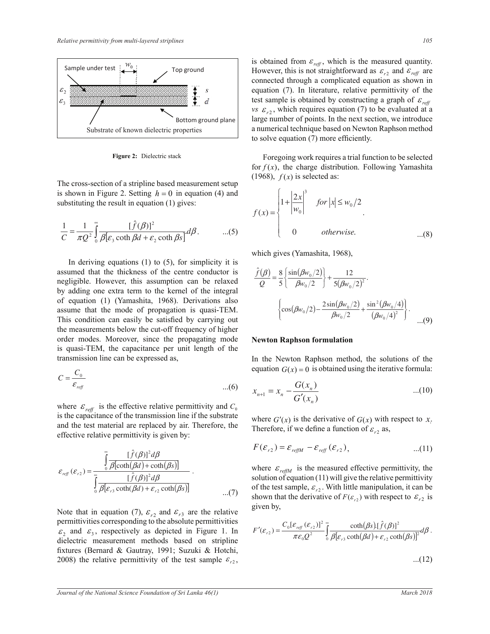

**Figure 2:** Dielectric stack

The cross-section of a stripline based measurement setup is shown in Figure 2. Setting  $h = 0$  in equation (4) and substituting the result in equation  $(1)$  gives:

$$
\frac{1}{C} = \frac{1}{\pi Q^2} \int_{0}^{\infty} \frac{[\hat{f}(\beta)]^2}{\beta[\varepsilon_3 \coth \beta d + \varepsilon_2 \coth \beta s]} d\beta.
$$
...(5)

In deriving equations  $(1)$  to  $(5)$ , for simplicity it is assumed that the thickness of the centre conductor is negligible. However, this assumption can be relaxed by adding one extra term to the kernel of the integral of equation (1) (Yamashita, 1968). Derivations also or equation (1) (Yamashita, 1968). Derivations also  $\begin{cases} \cos(\beta w_0/2) - \frac{2\sin(\beta w_0/2)}{\beta w_0/2} + \frac{\sin^2(\beta w_0/4)}{(\beta w_0/4)} \end{cases}$ This condition can easily be satisfied by carrying out the measurements below the cut-off frequency of higher order modes. Moreover, since the propagating mode is quasi-TEM, the capacitance per unit length of the transmission line can be expressed as,

$$
C = \frac{C_0}{\varepsilon_{\text{ref}}} \qquad \qquad \text{...} (6) \qquad \qquad x = x - \frac{G(x_n)}{}
$$

where  $\varepsilon_{\text{reff}}$  is the effective relative permittivity and  $C_0$ is the capacitance of the transmission line if the substrate and the test material are replaced by air. Therefore, the effective relative permittivity is given by:  $\mathsf{Id}\;C_0$ 

$$
\varepsilon_{\text{ref}}(\varepsilon_{r2}) = \frac{\int_{0}^{\infty} \frac{[\hat{f}(\beta)]^2 d\beta}{\beta[\text{coth}(\beta d) + \text{coth}(\beta s)]}}{\int_{0}^{\infty} \frac{[\hat{f}(\beta)]^2 d\beta}{\beta[\varepsilon_{r3} \text{coth}(\beta d) + \varepsilon_{r2} \text{coth}(\beta s)]}}
$$
\nwhere  $\varepsilon_{\text{refM}}$  is the measured effective permittivity, the solution of equation (11) will give the relative permittivity of the test sample,  $\varepsilon_{r2}$ . With little manipulation, it can be shown that the derivative of  $F(\varepsilon_{r2})$  with respect to  $\varepsilon_{r2}$  is

Note that in equation (7),  $\varepsilon_{r2}$  and  $\varepsilon_{r3}$  are the relative  $\varepsilon_2$  and  $\varepsilon_3$ , respectively as depicted in Figure 1. In permittivities corresponding to the absolute permittivities dielectric measurement methods based on stripline fixtures (Bernard & Gautray, 1991; Suzuki & Hotchi, 2008) the relative permittivity of the test sample  $\varepsilon_{r2}$ ,

is obtained from  $\varepsilon_{\text{reff}}$ , which is the measured quantity. However, this is not straightforward as  $\varepsilon_{r2}$  and  $\varepsilon_{\text{ref}}$  are connected through a complicated equation as shown in equation (7). In literature, relative permittivity of the test sample is obtained by constructing a graph of  $\varepsilon_{\text{reff}}$ *vs*  $\varepsilon_{r2}$ , which requires equation (7) to be evaluated at a large number of points. In the next section, we introduce a numerical technique based on Newton Raphson method to solve equation  $(7)$  more efficiently. .<br>ص of rupped metrod

Foregoing work requires a trial function to be selected for  $f(x)$ , the charge distribution. Following Yamashita  $(1968)$ ,  $f(x)$  is selected as: going work requires a trial function to be selected

$$
f(x) = \begin{cases} 1 + \left| \frac{2x}{w_0} \right|^3 & \text{for } |x| \le w_0/2 \\ 0 & \text{otherwise.} \end{cases}
$$
...(8)

which gives (Yamashita, 1968), ½  $\frac{1}{2}$ 

$$
\frac{\hat{f}(\beta)}{Q} = \frac{8}{5} \left\{ \frac{\sin(\beta w_0/2)}{\beta w_0/2} \right\} + \frac{12}{5(\beta w_0/2)^2}.
$$

$$
\left\{ \cos(\beta w_0/2) - \frac{2\sin(\beta w_0/2)}{\beta w_0/2} + \frac{\sin^2(\beta w_0/4)}{(\beta w_0/4)^2} \right\}.
$$
...(9)

#### **Newton Raphson formulation**

equation  $G(x) = 0$  is obtained using the iterative formula: In the Newton Raphson method, the solutions of the

$$
x_{n+1} = x_n - \frac{G(x_n)}{G'(x_n)}
$$
...(10)

 $\frac{1}{2}$ where  $G'(x)$  is the derivative of  $G(x)$  with respect to  $x$ .<br>Therefore, if we define a function of  $g$ , as Therefore, if we define a function of  $\varepsilon_{r2}$  as, *x*

$$
F(\mathcal{E}_{r2}) = \mathcal{E}_{\text{refIM}} - \mathcal{E}_{\text{ref}}(\mathcal{E}_{r2}), \qquad ...(11)
$$

 $\epsilon_{\text{reflM}}$ ε solution of equation (11) will give the relative permittivity  $\frac{1}{\sqrt{2}}$ ε έταν και τους και τους και τους και τους και τους και τους και τους και τους και τους και τους και τους και shown that the derivative of  $F(\varepsilon_{r2})$  with respect to  $\varepsilon_{r2}$  is of the test sample,  $\varepsilon_{r2}$ . With little manipulation, it can be given by,

$$
F'(\varepsilon_{r2}) = \frac{C_0[\varepsilon_{\text{reff}}(\varepsilon_{r2})]^2}{\pi\varepsilon_0 Q^2} \int_0^\infty \frac{\coth(\beta s) [\hat{f}(\beta)]^2}{\beta[\varepsilon_{r3}\coth(\beta d) + \varepsilon_{r2}\coth(\beta s)]^2} d\beta.
$$

³

...(12)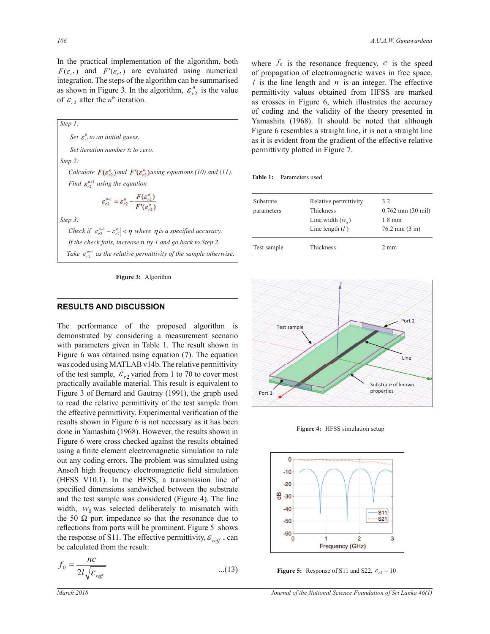In the practical implementation of the algorithm, both  $F(\varepsilon_{r2})$  and  $F'(\varepsilon_{r2})$  are evaluated using numerical integration. The steps of the algorithm can be summarised as shown in Figure 3. In the algorithm,  $\varepsilon_{r2}^n$  is the value of  $\varepsilon_{r2}$  after the *n*<sup>th</sup> iteration.

*Step 1:*  **Contract Contract State** *Set*  $\varepsilon_r^0$  *to an initial guess. Set iteration number* ݊ *to zero. Step 2: Calculate*  $F(\varepsilon_{r2}^n)$  *and*  $F'(\varepsilon_{r2}^n)$  *using equations (10) and (11). Find*  $\varepsilon_{r2}^{n+1}$  *using the equation*  $\varepsilon_{r2}^{n+1} = \varepsilon_{r2}^{n} - \frac{F(\varepsilon_{r2}^{n})}{F'(\varepsilon_{r2}^{n})}$ 

*Step 3:* 

*Check if*  $|\varepsilon_{r2}^{n+1} - \varepsilon_{r2}^{n}| < \eta$  *where*  $\eta$  *is a specified accuracy. If the check fails, increase n by 1 and go back to Step 2. Take*  $\varepsilon_{r2}^{n+1}$  *as the relative permittivity of the sample otherwise.* 



#### **RESULTS AND DISCUSSION**

The performance of the proposed algorithm is demonstrated by considering a measurement scenario with parameters given in Table 1. The result shown in Figure 6 was obtained using equation (7). The equation was coded using MATLAB v14b. The relative permittivity of the test sample,  $\varepsilon_{r2}$  varied from 1 to 70 to cover most practically available material. This result is equivalent to Figure 3 of Bernard and Gautray (1991), the graph used to read the relative permittivity of the test sample from the effective permittivity. Experimental verification of the results shown in Figure 6 is not necessary as it has been done in Yamashita (1968). However, the results shown in Figure 6 were cross checked against the results obtained using a finite element electromagnetic simulation to rule out any coding errors. The problem was simulated using Ansoft high frequency electromagnetic field simulation (HFSS V10.1). In the HFSS, a transmission line of specified dimensions sandwiched between the substrate and the test sample was considered (Figure 4). The line width,  $W_0$  was selected deliberately to mismatch with the 50  $\Omega$  port impedance so that the resonance due to reflections from ports will be prominent. Figure 5 shows the response of S11. The effective permittivity,  $\varepsilon_{ref}$ , can be calculated from the result:

$$
f_0 = \frac{nc}{2l\sqrt{\varepsilon_{\text{ref}}}}
$$
...(13) **Figure 5:** Response of S11 and S22,  $\varepsilon_{r2} = 10$ 

where  $f_0$  is the resonance frequency,  $c$  is the speed of propagation of electromagnetic waves in free space, *l* is the line length and *n* is an integer. The effective permittivity values obtained from HFSS are marked as crosses in Figure 6, which illustrates the accuracy of coding and the validity of the theory presented in Yamashita (1968). It should be noted that although Figure 6 resembles a straight line, it is not a straight line as it is evident from the gradient of the effective relative permittivity plotted in Figure 7.

**Table 1:** Parameters used

| Relative permittivity | 3.2                              |
|-----------------------|----------------------------------|
| Thickness             | $0.762$ mm $(30$ mil)            |
| Line width $(w_0)$    | $1.8 \text{ mm}$                 |
| Line length $(l)$     | $76.2 \text{ mm} (3 \text{ in})$ |
| Thickness             | $2 \text{ mm}$                   |
|                       |                                  |



**Figure 4:** HFSS simulation setup



**Figure 5:** Response of S11 and S22,  $\varepsilon_{r2} = 10$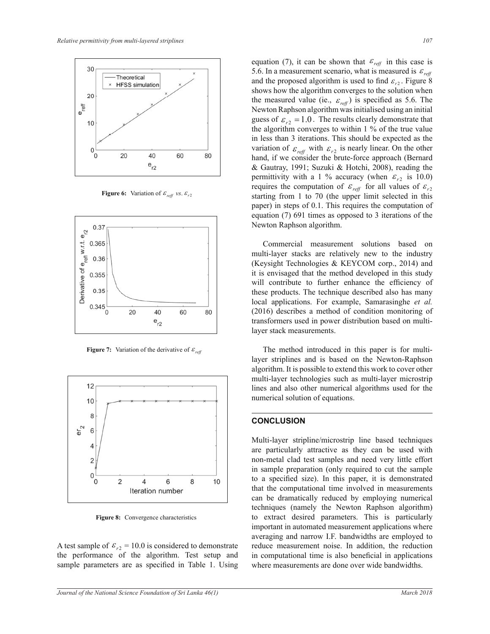

**Figure 6:** Variation of  $\varepsilon_{\text{ref}}$  vs.  $\varepsilon_{r2}$ 



**Figure 7:** Variation of the derivative of  $\varepsilon_{ref}$ 



Figure 7: Convergence characteristics **Figure 8:** Convergence characteristics

A test sample of  $\varepsilon_{r2} = 10.0$  is considered to demonstrate the performance of the algorithm. Test setup and sample parameters are as specified in Table 1. Using

equation (7) 691 times as opposed to 3 iterations of the Figure 6:  $\frac{1}{2}$   $\frac{1}{2}$   $\frac{1}{2}$   $\frac{1}{2}$   $\frac{1}{2}$   $\frac{1}{2}$   $\frac{1}{2}$   $\frac{1}{2}$   $\frac{1}{2}$   $\frac{1}{2}$   $\frac{1}{2}$   $\frac{1}{2}$   $\frac{1}{2}$   $\frac{1}{2}$   $\frac{1}{2}$   $\frac{1}{2}$   $\frac{1}{2}$   $\frac{1}{2}$   $\frac{1}{2}$   $\frac{1}{2}$   $\frac{1}{2}$  equation (7), it can be shown that  $\varepsilon_{\text{ref}}$  in this case is 5.6. In a measurement scenario, what is measured is  $\varepsilon_{\text{reff}}$ and the proposed algorithm is used to find  $\varepsilon_{r2}$ . Figure 8 shows how the algorithm converges to the solution when the measured value (ie.,  $\varepsilon_{ref}$ ) is specified as 5.6. The Newton Raphson algorithm was initialised using an initial guess of  $\varepsilon_{r2} = 1.0$ . The results clearly demonstrate that the algorithm converges to within 1 % of the true value in less than 3 iterations. This should be expected as the variation of  $\varepsilon_{\text{ref}}$  with  $\varepsilon_{r2}$  is nearly linear. On the other hand, if we consider the brute-force approach (Bernard & Gautray, 1991; Suzuki & Hotchi, 2008), reading the permittivity with a 1 % accuracy (when  $\varepsilon_{r2}$  is 10.0) starting from 1 to 70 (the upper limit selected in this paper) in steps of 0.1. This requires the computation of Newton Raphson algorithm.

> Commercial measurement solutions based on multi-layer stacks are relatively new to the industry (Keysight Technologies & KEYCOM corp., 2014) and it is envisaged that the method developed in this study will contribute to further enhance the efficiency of these products. The technique described also has many local applications. For example, Samarasinghe *et al.* (2016) describes a method of condition monitoring of transformers used in power distribution based on multilayer stack measurements.

> The method introduced in this paper is for multilayer striplines and is based on the Newton-Raphson algorithm. It is possible to extend this work to cover other multi-layer technologies such as multi-layer microstrip lines and also other numerical algorithms used for the numerical solution of equations.

## **CONCLUSION**

Multi-layer stripline/microstrip line based techniques are particularly attractive as they can be used with non-metal clad test samples and need very little effort in sample preparation (only required to cut the sample to a specified size). In this paper, it is demonstrated that the computational time involved in measurements can be dramatically reduced by employing numerical techniques (namely the Newton Raphson algorithm) to extract desired parameters. This is particularly important in automated measurement applications where averaging and narrow I.F. bandwidths are employed to reduce measurement noise. In addition, the reduction in computational time is also beneficial in applications where measurements are done over wide bandwidths.